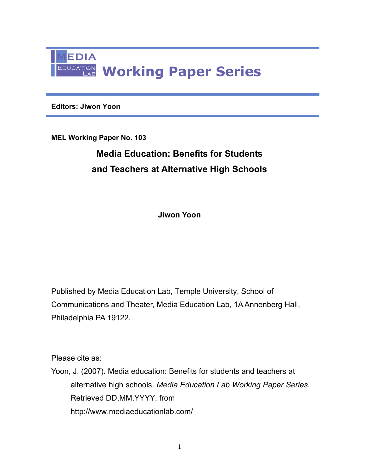

**Editors: Jiwon Yoon** 

**MEL Working Paper No. 103** 

# **Media Education: Benefits for Students and Teachers at Alternative High Schools**

**Jiwon Yoon** 

Published by Media Education Lab, Temple University, School of Communications and Theater, Media Education Lab, 1A Annenberg Hall, Philadelphia PA 19122.

Please cite as:

Yoon, J. (2007). Media education: Benefits for students and teachers at alternative high schools. *Media Education Lab Working Paper Series*. Retrieved DD.MM.YYYY, from http://www.mediaeducationlab.com/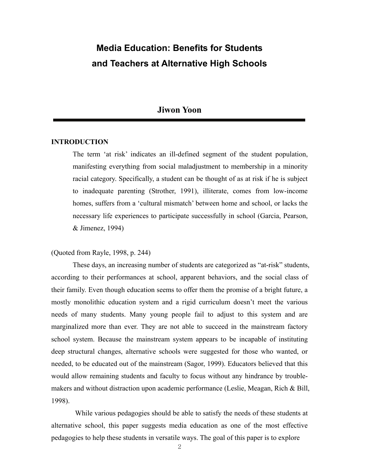# **Media Education: Benefits for Students and Teachers at Alternative High Schools**

## **Jiwon Yoon**

## **INTRODUCTION**

The term 'at risk' indicates an ill-defined segment of the student population, manifesting everything from social maladjustment to membership in a minority racial category. Specifically, a student can be thought of as at risk if he is subject to inadequate parenting (Strother, 1991), illiterate, comes from low-income homes, suffers from a 'cultural mismatch' between home and school, or lacks the necessary life experiences to participate successfully in school (Garcia, Pearson, & Jimenez, 1994)

### (Quoted from Rayle, 1998, p. 244)

These days, an increasing number of students are categorized as "at-risk" students, according to their performances at school, apparent behaviors, and the social class of their family. Even though education seems to offer them the promise of a bright future, a mostly monolithic education system and a rigid curriculum doesn't meet the various needs of many students. Many young people fail to adjust to this system and are marginalized more than ever. They are not able to succeed in the mainstream factory school system. Because the mainstream system appears to be incapable of instituting deep structural changes, alternative schools were suggested for those who wanted, or needed, to be educated out of the mainstream (Sagor, 1999). Educators believed that this would allow remaining students and faculty to focus without any hindrance by troublemakers and without distraction upon academic performance (Leslie, Meagan, Rich & Bill, 1998).

 While various pedagogies should be able to satisfy the needs of these students at alternative school, this paper suggests media education as one of the most effective pedagogies to help these students in versatile ways. The goal of this paper is to explore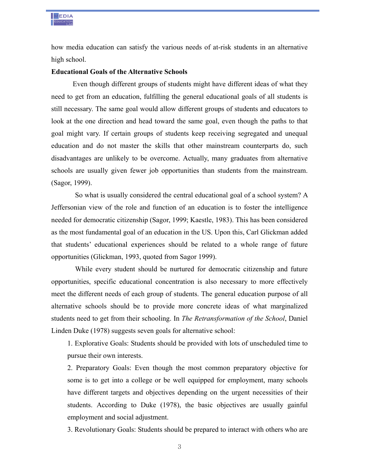

how media education can satisfy the various needs of at-risk students in an alternative high school.

## **Educational Goals of the Alternative Schools**

Even though different groups of students might have different ideas of what they need to get from an education, fulfilling the general educational goals of all students is still necessary. The same goal would allow different groups of students and educators to look at the one direction and head toward the same goal, even though the paths to that goal might vary. If certain groups of students keep receiving segregated and unequal education and do not master the skills that other mainstream counterparts do, such disadvantages are unlikely to be overcome. Actually, many graduates from alternative schools are usually given fewer job opportunities than students from the mainstream. (Sagor, 1999).

 So what is usually considered the central educational goal of a school system? A Jeffersonian view of the role and function of an education is to foster the intelligence needed for democratic citizenship (Sagor, 1999; Kaestle, 1983). This has been considered as the most fundamental goal of an education in the US. Upon this, Carl Glickman added that students' educational experiences should be related to a whole range of future opportunities (Glickman, 1993, quoted from Sagor 1999).

 While every student should be nurtured for democratic citizenship and future opportunities, specific educational concentration is also necessary to more effectively meet the different needs of each group of students. The general education purpose of all alternative schools should be to provide more concrete ideas of what marginalized students need to get from their schooling. In *The Retransformation of the School*, Daniel Linden Duke (1978) suggests seven goals for alternative school:

1. Explorative Goals: Students should be provided with lots of unscheduled time to pursue their own interests.

2. Preparatory Goals: Even though the most common preparatory objective for some is to get into a college or be well equipped for employment, many schools have different targets and objectives depending on the urgent necessities of their students. According to Duke (1978), the basic objectives are usually gainful employment and social adjustment.

3. Revolutionary Goals: Students should be prepared to interact with others who are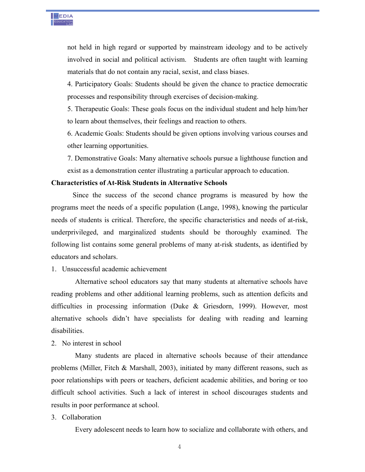

not held in high regard or supported by mainstream ideology and to be actively involved in social and political activism. Students are often taught with learning materials that do not contain any racial, sexist, and class biases.

4. Participatory Goals: Students should be given the chance to practice democratic processes and responsibility through exercises of decision-making.

5. Therapeutic Goals: These goals focus on the individual student and help him/her to learn about themselves, their feelings and reaction to others.

6. Academic Goals: Students should be given options involving various courses and other learning opportunities.

7. Demonstrative Goals: Many alternative schools pursue a lighthouse function and exist as a demonstration center illustrating a particular approach to education.

#### **Characteristics of At-Risk Students in Alternative Schools**

Since the success of the second chance programs is measured by how the programs meet the needs of a specific population (Lange, 1998), knowing the particular needs of students is critical. Therefore, the specific characteristics and needs of at-risk, underprivileged, and marginalized students should be thoroughly examined. The following list contains some general problems of many at-risk students, as identified by educators and scholars.

## 1. Unsuccessful academic achievement

 Alternative school educators say that many students at alternative schools have reading problems and other additional learning problems, such as attention deficits and difficulties in processing information (Duke & Griesdorn, 1999). However, most alternative schools didn't have specialists for dealing with reading and learning disabilities.

2. No interest in school

 Many students are placed in alternative schools because of their attendance problems (Miller, Fitch & Marshall, 2003), initiated by many different reasons, such as poor relationships with peers or teachers, deficient academic abilities, and boring or too difficult school activities. Such a lack of interest in school discourages students and results in poor performance at school.

### 3. Collaboration

Every adolescent needs to learn how to socialize and collaborate with others, and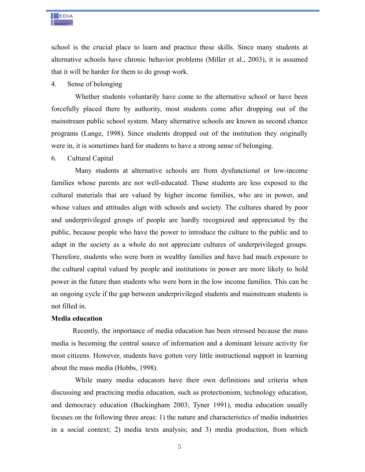

school is the crucial place to learn and practice these skills. Since many students at alternative schools have chronic behavior problems (Miller et al., 2003), it is assumed that it will be harder for them to do group work.

## 4. Sense of belonging

 Whether students voluntarily have come to the alternative school or have been forcefully placed there by authority, most students come after dropping out of the mainstream public school system. Many alternative schools are known as second chance programs (Lange, 1998). Since students dropped out of the institution they originally were in, it is sometimes hard for students to have a strong sense of belonging.

## 6. Cultural Capital

 Many students at alternative schools are from dysfunctional or low-income families whose parents are not well-educated. These students are less exposed to the cultural materials that are valued by higher income families, who are in power, and whose values and attitudes align with schools and society. The cultures shared by poor and underprivileged groups of people are hardly recognized and appreciated by the public, because people who have the power to introduce the culture to the public and to adapt in the society as a whole do not appreciate cultures of underprivileged groups. Therefore, students who were born in wealthy families and have had much exposure to the cultural capital valued by people and institutions in power are more likely to hold power in the future than students who were born in the low income families. This can be an ongoing cycle if the gap between underprivileged students and mainstream students is not filled in.

## **Media education**

Recently, the importance of media education has been stressed because the mass media is becoming the central source of information and a dominant leisure activity for most citizens. However, students have gotten very little instructional support in learning about the mass media (Hobbs, 1998).

 While many media educators have their own definitions and criteria when discussing and practicing media education, such as protectionism, technology education, and democracy education (Buckingham 2003; Tyner 1991), media education usually focuses on the following three areas: 1) the nature and characteristics of media industries in a social context; 2) media texts analysis; and 3) media production, from which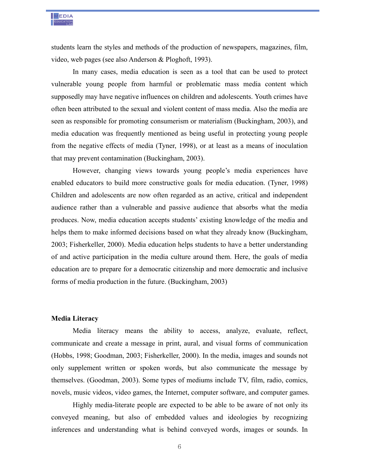

students learn the styles and methods of the production of newspapers, magazines, film, video, web pages (see also Anderson & Ploghoft, 1993).

In many cases, media education is seen as a tool that can be used to protect vulnerable young people from harmful or problematic mass media content which supposedly may have negative influences on children and adolescents. Youth crimes have often been attributed to the sexual and violent content of mass media. Also the media are seen as responsible for promoting consumerism or materialism (Buckingham, 2003), and media education was frequently mentioned as being useful in protecting young people from the negative effects of media (Tyner, 1998), or at least as a means of inoculation that may prevent contamination (Buckingham, 2003).

However, changing views towards young people's media experiences have enabled educators to build more constructive goals for media education. (Tyner, 1998) Children and adolescents are now often regarded as an active, critical and independent audience rather than a vulnerable and passive audience that absorbs what the media produces. Now, media education accepts students' existing knowledge of the media and helps them to make informed decisions based on what they already know (Buckingham, 2003; Fisherkeller, 2000). Media education helps students to have a better understanding of and active participation in the media culture around them. Here, the goals of media education are to prepare for a democratic citizenship and more democratic and inclusive forms of media production in the future. (Buckingham, 2003)

## **Media Literacy**

Media literacy means the ability to access, analyze, evaluate, reflect, communicate and create a message in print, aural, and visual forms of communication (Hobbs, 1998; Goodman, 2003; Fisherkeller, 2000). In the media, images and sounds not only supplement written or spoken words, but also communicate the message by themselves. (Goodman, 2003). Some types of mediums include TV, film, radio, comics, novels, music videos, video games, the Internet, computer software, and computer games.

Highly media-literate people are expected to be able to be aware of not only its conveyed meaning, but also of embedded values and ideologies by recognizing inferences and understanding what is behind conveyed words, images or sounds. In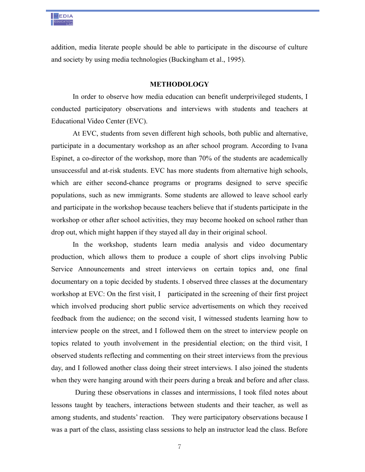

addition, media literate people should be able to participate in the discourse of culture and society by using media technologies (Buckingham et al., 1995).

#### **METHODOLOGY**

In order to observe how media education can benefit underprivileged students, I conducted participatory observations and interviews with students and teachers at Educational Video Center (EVC).

At EVC, students from seven different high schools, both public and alternative, participate in a documentary workshop as an after school program. According to Ivana Espinet, a co-director of the workshop, more than 70% of the students are academically unsuccessful and at-risk students. EVC has more students from alternative high schools, which are either second-chance programs or programs designed to serve specific populations, such as new immigrants. Some students are allowed to leave school early and participate in the workshop because teachers believe that if students participate in the workshop or other after school activities, they may become hooked on school rather than drop out, which might happen if they stayed all day in their original school.

In the workshop, students learn media analysis and video documentary production, which allows them to produce a couple of short clips involving Public Service Announcements and street interviews on certain topics and, one final documentary on a topic decided by students. I observed three classes at the documentary workshop at EVC: On the first visit, I participated in the screening of their first project which involved producing short public service advertisements on which they received feedback from the audience; on the second visit, I witnessed students learning how to interview people on the street, and I followed them on the street to interview people on topics related to youth involvement in the presidential election; on the third visit, I observed students reflecting and commenting on their street interviews from the previous day, and I followed another class doing their street interviews. I also joined the students when they were hanging around with their peers during a break and before and after class.

 During these observations in classes and intermissions, I took filed notes about lessons taught by teachers, interactions between students and their teacher, as well as among students, and students' reaction. They were participatory observations because I was a part of the class, assisting class sessions to help an instructor lead the class. Before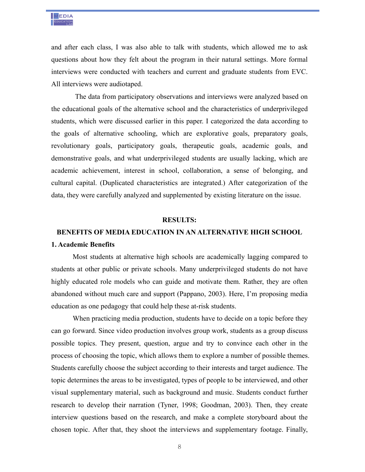

and after each class, I was also able to talk with students, which allowed me to ask questions about how they felt about the program in their natural settings. More formal interviews were conducted with teachers and current and graduate students from EVC. All interviews were audiotaped.

 The data from participatory observations and interviews were analyzed based on the educational goals of the alternative school and the characteristics of underprivileged students, which were discussed earlier in this paper. I categorized the data according to the goals of alternative schooling, which are explorative goals, preparatory goals, revolutionary goals, participatory goals, therapeutic goals, academic goals, and demonstrative goals, and what underprivileged students are usually lacking, which are academic achievement, interest in school, collaboration, a sense of belonging, and cultural capital. (Duplicated characteristics are integrated.) After categorization of the data, they were carefully analyzed and supplemented by existing literature on the issue.

#### **RESULTS:**

## **BENEFITS OF MEDIA EDUCATION IN AN ALTERNATIVE HIGH SCHOOL**

#### **1. Academic Benefits**

Most students at alternative high schools are academically lagging compared to students at other public or private schools. Many underprivileged students do not have highly educated role models who can guide and motivate them. Rather, they are often abandoned without much care and support (Pappano, 2003). Here, I'm proposing media education as one pedagogy that could help these at-risk students.

When practicing media production, students have to decide on a topic before they can go forward. Since video production involves group work, students as a group discuss possible topics. They present, question, argue and try to convince each other in the process of choosing the topic, which allows them to explore a number of possible themes. Students carefully choose the subject according to their interests and target audience. The topic determines the areas to be investigated, types of people to be interviewed, and other visual supplementary material, such as background and music. Students conduct further research to develop their narration (Tyner, 1998; Goodman, 2003). Then, they create interview questions based on the research, and make a complete storyboard about the chosen topic. After that, they shoot the interviews and supplementary footage. Finally,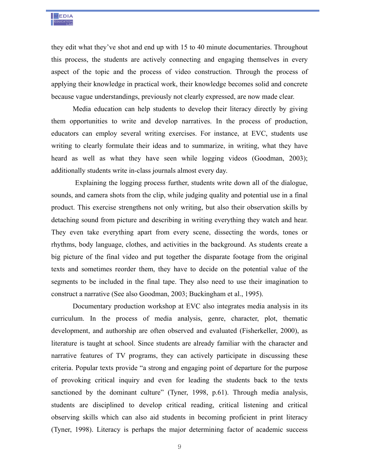

they edit what they've shot and end up with 15 to 40 minute documentaries. Throughout this process, the students are actively connecting and engaging themselves in every aspect of the topic and the process of video construction. Through the process of applying their knowledge in practical work, their knowledge becomes solid and concrete because vague understandings, previously not clearly expressed, are now made clear.

Media education can help students to develop their literacy directly by giving them opportunities to write and develop narratives. In the process of production, educators can employ several writing exercises. For instance, at EVC, students use writing to clearly formulate their ideas and to summarize, in writing, what they have heard as well as what they have seen while logging videos (Goodman, 2003); additionally students write in-class journals almost every day.

 Explaining the logging process further, students write down all of the dialogue, sounds, and camera shots from the clip, while judging quality and potential use in a final product. This exercise strengthens not only writing, but also their observation skills by detaching sound from picture and describing in writing everything they watch and hear. They even take everything apart from every scene, dissecting the words, tones or rhythms, body language, clothes, and activities in the background. As students create a big picture of the final video and put together the disparate footage from the original texts and sometimes reorder them, they have to decide on the potential value of the segments to be included in the final tape. They also need to use their imagination to construct a narrative (See also Goodman, 2003; Buckingham et al., 1995).

Documentary production workshop at EVC also integrates media analysis in its curriculum. In the process of media analysis, genre, character, plot, thematic development, and authorship are often observed and evaluated (Fisherkeller, 2000), as literature is taught at school. Since students are already familiar with the character and narrative features of TV programs, they can actively participate in discussing these criteria. Popular texts provide "a strong and engaging point of departure for the purpose of provoking critical inquiry and even for leading the students back to the texts sanctioned by the dominant culture" (Tyner, 1998, p.61). Through media analysis, students are disciplined to develop critical reading, critical listening and critical observing skills which can also aid students in becoming proficient in print literacy (Tyner, 1998). Literacy is perhaps the major determining factor of academic success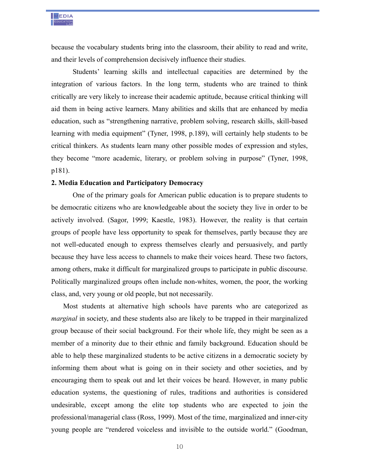

because the vocabulary students bring into the classroom, their ability to read and write, and their levels of comprehension decisively influence their studies.

Students' learning skills and intellectual capacities are determined by the integration of various factors. In the long term, students who are trained to think critically are very likely to increase their academic aptitude, because critical thinking will aid them in being active learners. Many abilities and skills that are enhanced by media education, such as "strengthening narrative, problem solving, research skills, skill-based learning with media equipment" (Tyner, 1998, p.189), will certainly help students to be critical thinkers. As students learn many other possible modes of expression and styles, they become "more academic, literary, or problem solving in purpose" (Tyner, 1998, p181).

#### **2. Media Education and Participatory Democracy**

One of the primary goals for American public education is to prepare students to be democratic citizens who are knowledgeable about the society they live in order to be actively involved. (Sagor, 1999; Kaestle, 1983). However, the reality is that certain groups of people have less opportunity to speak for themselves, partly because they are not well-educated enough to express themselves clearly and persuasively, and partly because they have less access to channels to make their voices heard. These two factors, among others, make it difficult for marginalized groups to participate in public discourse. Politically marginalized groups often include non-whites, women, the poor, the working class, and, very young or old people, but not necessarily.

Most students at alternative high schools have parents who are categorized as *marginal* in society, and these students also are likely to be trapped in their marginalized group because of their social background. For their whole life, they might be seen as a member of a minority due to their ethnic and family background. Education should be able to help these marginalized students to be active citizens in a democratic society by informing them about what is going on in their society and other societies, and by encouraging them to speak out and let their voices be heard. However, in many public education systems, the questioning of rules, traditions and authorities is considered undesirable, except among the elite top students who are expected to join the professional/managerial class (Ross, 1999). Most of the time, marginalized and inner-city young people are "rendered voiceless and invisible to the outside world." (Goodman,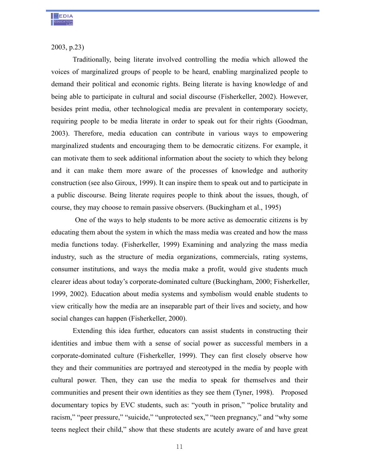

2003, p.23)

Traditionally, being literate involved controlling the media which allowed the voices of marginalized groups of people to be heard, enabling marginalized people to demand their political and economic rights. Being literate is having knowledge of and being able to participate in cultural and social discourse (Fisherkeller, 2002). However, besides print media, other technological media are prevalent in contemporary society, requiring people to be media literate in order to speak out for their rights (Goodman, 2003). Therefore, media education can contribute in various ways to empowering marginalized students and encouraging them to be democratic citizens. For example, it can motivate them to seek additional information about the society to which they belong and it can make them more aware of the processes of knowledge and authority construction (see also Giroux, 1999). It can inspire them to speak out and to participate in a public discourse. Being literate requires people to think about the issues, though, of course, they may choose to remain passive observers. (Buckingham et al., 1995)

 One of the ways to help students to be more active as democratic citizens is by educating them about the system in which the mass media was created and how the mass media functions today. (Fisherkeller, 1999) Examining and analyzing the mass media industry, such as the structure of media organizations, commercials, rating systems, consumer institutions, and ways the media make a profit, would give students much clearer ideas about today's corporate-dominated culture (Buckingham, 2000; Fisherkeller, 1999, 2002). Education about media systems and symbolism would enable students to view critically how the media are an inseparable part of their lives and society, and how social changes can happen (Fisherkeller, 2000).

Extending this idea further, educators can assist students in constructing their identities and imbue them with a sense of social power as successful members in a corporate-dominated culture (Fisherkeller, 1999). They can first closely observe how they and their communities are portrayed and stereotyped in the media by people with cultural power. Then, they can use the media to speak for themselves and their communities and present their own identities as they see them (Tyner, 1998). Proposed documentary topics by EVC students, such as: "youth in prison," "police brutality and racism," "peer pressure," "suicide," "unprotected sex," "teen pregnancy," and "why some teens neglect their child," show that these students are acutely aware of and have great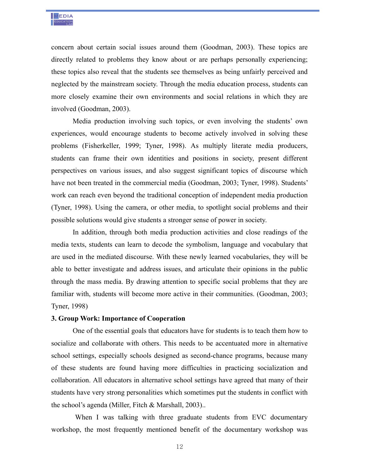

concern about certain social issues around them (Goodman, 2003). These topics are directly related to problems they know about or are perhaps personally experiencing; these topics also reveal that the students see themselves as being unfairly perceived and neglected by the mainstream society. Through the media education process, students can more closely examine their own environments and social relations in which they are involved (Goodman, 2003).

Media production involving such topics, or even involving the students' own experiences, would encourage students to become actively involved in solving these problems (Fisherkeller, 1999; Tyner, 1998). As multiply literate media producers, students can frame their own identities and positions in society, present different perspectives on various issues, and also suggest significant topics of discourse which have not been treated in the commercial media (Goodman, 2003; Tyner, 1998). Students' work can reach even beyond the traditional conception of independent media production (Tyner, 1998). Using the camera, or other media, to spotlight social problems and their possible solutions would give students a stronger sense of power in society.

In addition, through both media production activities and close readings of the media texts, students can learn to decode the symbolism, language and vocabulary that are used in the mediated discourse. With these newly learned vocabularies, they will be able to better investigate and address issues, and articulate their opinions in the public through the mass media. By drawing attention to specific social problems that they are familiar with, students will become more active in their communities. (Goodman, 2003; Tyner, 1998)

#### **3. Group Work: Importance of Cooperation**

One of the essential goals that educators have for students is to teach them how to socialize and collaborate with others. This needs to be accentuated more in alternative school settings, especially schools designed as second-chance programs, because many of these students are found having more difficulties in practicing socialization and collaboration. All educators in alternative school settings have agreed that many of their students have very strong personalities which sometimes put the students in conflict with the school's agenda (Miller, Fitch & Marshall, 2003)..

When I was talking with three graduate students from EVC documentary workshop, the most frequently mentioned benefit of the documentary workshop was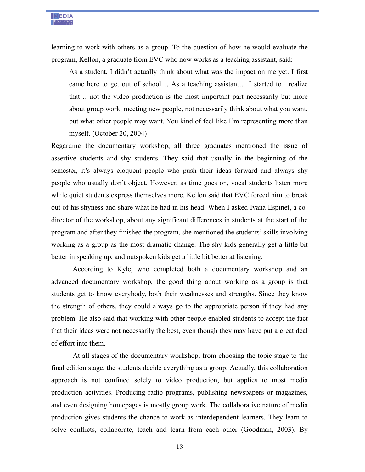

learning to work with others as a group. To the question of how he would evaluate the program, Kellon, a graduate from EVC who now works as a teaching assistant, said:

As a student, I didn't actually think about what was the impact on me yet. I first came here to get out of school.... As a teaching assistant… I started to realize that… not the video production is the most important part necessarily but more about group work, meeting new people, not necessarily think about what you want, but what other people may want. You kind of feel like I'm representing more than myself. (October 20, 2004)

Regarding the documentary workshop, all three graduates mentioned the issue of assertive students and shy students. They said that usually in the beginning of the semester, it's always eloquent people who push their ideas forward and always shy people who usually don't object. However, as time goes on, vocal students listen more while quiet students express themselves more. Kellon said that EVC forced him to break out of his shyness and share what he had in his head. When I asked Ivana Espinet, a codirector of the workshop, about any significant differences in students at the start of the program and after they finished the program, she mentioned the students' skills involving working as a group as the most dramatic change. The shy kids generally get a little bit better in speaking up, and outspoken kids get a little bit better at listening.

According to Kyle, who completed both a documentary workshop and an advanced documentary workshop, the good thing about working as a group is that students get to know everybody, both their weaknesses and strengths. Since they know the strength of others, they could always go to the appropriate person if they had any problem. He also said that working with other people enabled students to accept the fact that their ideas were not necessarily the best, even though they may have put a great deal of effort into them.

At all stages of the documentary workshop, from choosing the topic stage to the final edition stage, the students decide everything as a group. Actually, this collaboration approach is not confined solely to video production, but applies to most media production activities. Producing radio programs, publishing newspapers or magazines, and even designing homepages is mostly group work. The collaborative nature of media production gives students the chance to work as interdependent learners. They learn to solve conflicts, collaborate, teach and learn from each other (Goodman, 2003). By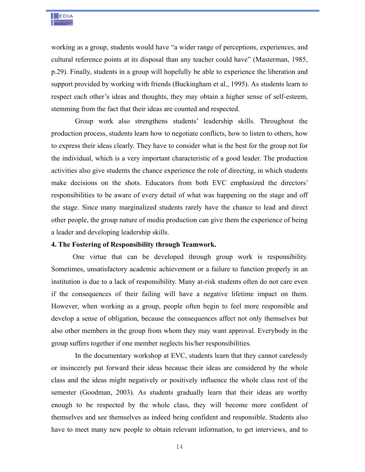

working as a group, students would have "a wider range of perceptions, experiences, and cultural reference points at its disposal than any teacher could have" (Masterman, 1985, p.29). Finally, students in a group will hopefully be able to experience the liberation and support provided by working with friends (Buckingham et al., 1995). As students learn to respect each other's ideas and thoughts, they may obtain a higher sense of self-esteem, stemming from the fact that their ideas are counted and respected.

 Group work also strengthens students' leadership skills. Throughout the production process, students learn how to negotiate conflicts, how to listen to others, how to express their ideas clearly. They have to consider what is the best for the group not for the individual, which is a very important characteristic of a good leader. The production activities also give students the chance experience the role of directing, in which students make decisions on the shots. Educators from both EVC emphasized the directors' responsibilities to be aware of every detail of what was happening on the stage and off the stage. Since many marginalized students rarely have the chance to lead and direct other people, the group nature of media production can give them the experience of being a leader and developing leadership skills.

#### **4. The Fostering of Responsibility through Teamwork.**

One virtue that can be developed through group work is responsibility. Sometimes, unsatisfactory academic achievement or a failure to function properly in an institution is due to a lack of responsibility. Many at-risk students often do not care even if the consequences of their failing will have a negative lifetime impact on them. However, when working as a group, people often begin to feel more responsible and develop a sense of obligation, because the consequences affect not only themselves but also other members in the group from whom they may want approval. Everybody in the group suffers together if one member neglects his/her responsibilities.

 In the documentary workshop at EVC, students learn that they cannot carelessly or insincerely put forward their ideas because their ideas are considered by the whole class and the ideas might negatively or positively influence the whole class rest of the semester (Goodman, 2003). As students gradually learn that their ideas are worthy enough to be respected by the whole class, they will become more confident of themselves and see themselves as indeed being confident and responsible. Students also have to meet many new people to obtain relevant information, to get interviews, and to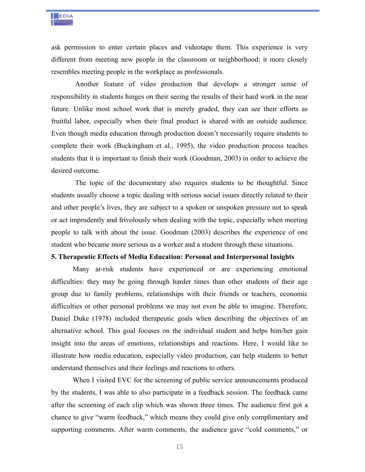

ask permission to enter certain places and videotape them. This experience is very different from meeting new people in the classroom or neighborhood; it more closely resembles meeting people in the workplace as professionals.

 Another feature of video production that develops a stronger sense of responsibility in students hinges on their seeing the results of their hard work in the near future. Unlike most school work that is merely graded, they can see their efforts as fruitful labor, especially when their final product is shared with an outside audience. Even though media education through production doesn't necessarily require students to complete their work (Buckingham et al., 1995), the video production process teaches students that it is important to finish their work (Goodman, 2003) in order to achieve the desired outcome.

 The topic of the documentary also requires students to be thoughtful. Since students usually choose a topic dealing with serious social issues directly related to their and other people's lives, they are subject to a spoken or unspoken pressure not to speak or act imprudently and frivolously when dealing with the topic, especially when meeting people to talk with about the issue. Goodman (2003) describes the experience of one student who became more serious as a worker and a student through these situations.

#### **5. Therapeutic Effects of Media Education: Personal and Interpersonal Insights**

Many at-risk students have experienced or are experiencing emotional difficulties: they may be going through harder times than other students of their age group due to family problems, relationships with their friends or teachers, economic difficulties or other personal problems we may not even be able to imagine. Therefore, Daniel Duke (1978) included therapeutic goals when describing the objectives of an alternative school. This goal focuses on the individual student and helps him/her gain insight into the areas of emotions, relationships and reactions. Here, I would like to illustrate how media education, especially video production, can help students to better understand themselves and their feelings and reactions to others.

When I visited EVC for the screening of public service announcements produced by the students, I was able to also participate in a feedback session. The feedback came after the screening of each clip which was shown three times. The audience first got a chance to give "warm feedback," which means they could give only complimentary and supporting comments. After warm comments, the audience gave "cold comments," or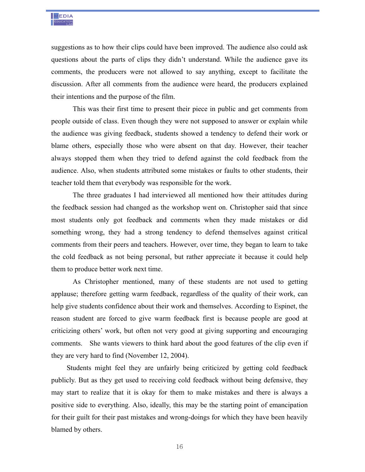

suggestions as to how their clips could have been improved. The audience also could ask questions about the parts of clips they didn't understand. While the audience gave its comments, the producers were not allowed to say anything, except to facilitate the discussion. After all comments from the audience were heard, the producers explained their intentions and the purpose of the film.

This was their first time to present their piece in public and get comments from people outside of class. Even though they were not supposed to answer or explain while the audience was giving feedback, students showed a tendency to defend their work or blame others, especially those who were absent on that day. However, their teacher always stopped them when they tried to defend against the cold feedback from the audience. Also, when students attributed some mistakes or faults to other students, their teacher told them that everybody was responsible for the work.

The three graduates I had interviewed all mentioned how their attitudes during the feedback session had changed as the workshop went on. Christopher said that since most students only got feedback and comments when they made mistakes or did something wrong, they had a strong tendency to defend themselves against critical comments from their peers and teachers. However, over time, they began to learn to take the cold feedback as not being personal, but rather appreciate it because it could help them to produce better work next time.

As Christopher mentioned, many of these students are not used to getting applause; therefore getting warm feedback, regardless of the quality of their work, can help give students confidence about their work and themselves. According to Espinet, the reason student are forced to give warm feedback first is because people are good at criticizing others' work, but often not very good at giving supporting and encouraging comments. She wants viewers to think hard about the good features of the clip even if they are very hard to find (November 12, 2004).

 Students might feel they are unfairly being criticized by getting cold feedback publicly. But as they get used to receiving cold feedback without being defensive, they may start to realize that it is okay for them to make mistakes and there is always a positive side to everything. Also, ideally, this may be the starting point of emancipation for their guilt for their past mistakes and wrong-doings for which they have been heavily blamed by others.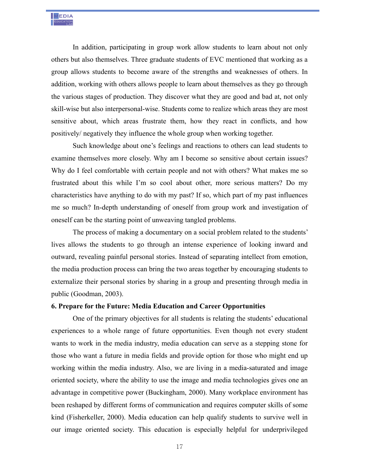In addition, participating in group work allow students to learn about not only others but also themselves. Three graduate students of EVC mentioned that working as a group allows students to become aware of the strengths and weaknesses of others. In addition, working with others allows people to learn about themselves as they go through the various stages of production. They discover what they are good and bad at, not only skill-wise but also interpersonal-wise. Students come to realize which areas they are most sensitive about, which areas frustrate them, how they react in conflicts, and how positively/ negatively they influence the whole group when working together.

Such knowledge about one's feelings and reactions to others can lead students to examine themselves more closely. Why am I become so sensitive about certain issues? Why do I feel comfortable with certain people and not with others? What makes me so frustrated about this while I'm so cool about other, more serious matters? Do my characteristics have anything to do with my past? If so, which part of my past influences me so much? In-depth understanding of oneself from group work and investigation of oneself can be the starting point of unweaving tangled problems.

The process of making a documentary on a social problem related to the students' lives allows the students to go through an intense experience of looking inward and outward, revealing painful personal stories. Instead of separating intellect from emotion, the media production process can bring the two areas together by encouraging students to externalize their personal stories by sharing in a group and presenting through media in public (Goodman, 2003).

### **6. Prepare for the Future: Media Education and Career Opportunities**

One of the primary objectives for all students is relating the students' educational experiences to a whole range of future opportunities. Even though not every student wants to work in the media industry, media education can serve as a stepping stone for those who want a future in media fields and provide option for those who might end up working within the media industry. Also, we are living in a media-saturated and image oriented society, where the ability to use the image and media technologies gives one an advantage in competitive power (Buckingham, 2000). Many workplace environment has been reshaped by different forms of communication and requires computer skills of some kind (Fisherkeller, 2000). Media education can help qualify students to survive well in our image oriented society. This education is especially helpful for underprivileged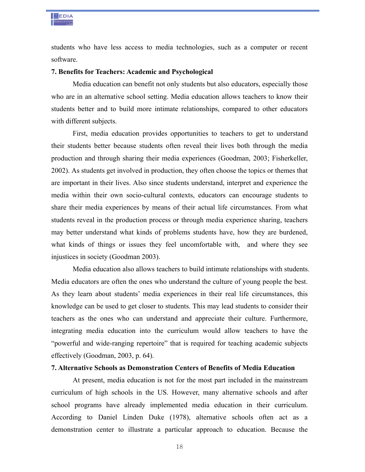

students who have less access to media technologies, such as a computer or recent software.

#### **7. Benefits for Teachers: Academic and Psychological**

Media education can benefit not only students but also educators, especially those who are in an alternative school setting. Media education allows teachers to know their students better and to build more intimate relationships, compared to other educators with different subjects.

First, media education provides opportunities to teachers to get to understand their students better because students often reveal their lives both through the media production and through sharing their media experiences (Goodman, 2003; Fisherkeller, 2002). As students get involved in production, they often choose the topics or themes that are important in their lives. Also since students understand, interpret and experience the media within their own socio-cultural contexts, educators can encourage students to share their media experiences by means of their actual life circumstances. From what students reveal in the production process or through media experience sharing, teachers may better understand what kinds of problems students have, how they are burdened, what kinds of things or issues they feel uncomfortable with, and where they see injustices in society (Goodman 2003).

Media education also allows teachers to build intimate relationships with students. Media educators are often the ones who understand the culture of young people the best. As they learn about students' media experiences in their real life circumstances, this knowledge can be used to get closer to students. This may lead students to consider their teachers as the ones who can understand and appreciate their culture. Furthermore, integrating media education into the curriculum would allow teachers to have the "powerful and wide-ranging repertoire" that is required for teaching academic subjects effectively (Goodman, 2003, p. 64).

## **7. Alternative Schools as Demonstration Centers of Benefits of Media Education**

At present, media education is not for the most part included in the mainstream curriculum of high schools in the US. However, many alternative schools and after school programs have already implemented media education in their curriculum. According to Daniel Linden Duke (1978), alternative schools often act as a demonstration center to illustrate a particular approach to education. Because the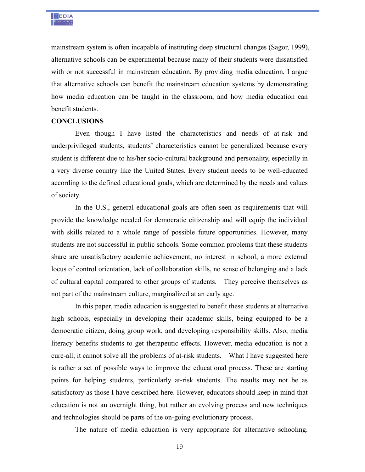

mainstream system is often incapable of instituting deep structural changes (Sagor, 1999), alternative schools can be experimental because many of their students were dissatisfied with or not successful in mainstream education. By providing media education, I argue that alternative schools can benefit the mainstream education systems by demonstrating how media education can be taught in the classroom, and how media education can benefit students.

#### **CONCLUSIONS**

 Even though I have listed the characteristics and needs of at-risk and underprivileged students, students' characteristics cannot be generalized because every student is different due to his/her socio-cultural background and personality, especially in a very diverse country like the United States. Every student needs to be well-educated according to the defined educational goals, which are determined by the needs and values of society.

 In the U.S., general educational goals are often seen as requirements that will provide the knowledge needed for democratic citizenship and will equip the individual with skills related to a whole range of possible future opportunities. However, many students are not successful in public schools. Some common problems that these students share are unsatisfactory academic achievement, no interest in school, a more external locus of control orientation, lack of collaboration skills, no sense of belonging and a lack of cultural capital compared to other groups of students. They perceive themselves as not part of the mainstream culture, marginalized at an early age.

 In this paper, media education is suggested to benefit these students at alternative high schools, especially in developing their academic skills, being equipped to be a democratic citizen, doing group work, and developing responsibility skills. Also, media literacy benefits students to get therapeutic effects. However, media education is not a cure-all; it cannot solve all the problems of at-risk students. What I have suggested here is rather a set of possible ways to improve the educational process. These are starting points for helping students, particularly at-risk students. The results may not be as satisfactory as those I have described here. However, educators should keep in mind that education is not an overnight thing, but rather an evolving process and new techniques and technologies should be parts of the on-going evolutionary process.

The nature of media education is very appropriate for alternative schooling.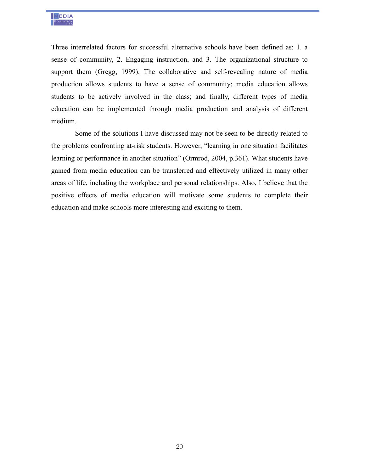

Three interrelated factors for successful alternative schools have been defined as: 1. a sense of community, 2. Engaging instruction, and 3. The organizational structure to support them (Gregg, 1999). The collaborative and self-revealing nature of media production allows students to have a sense of community; media education allows students to be actively involved in the class; and finally, different types of media education can be implemented through media production and analysis of different medium.

 Some of the solutions I have discussed may not be seen to be directly related to the problems confronting at-risk students. However, "learning in one situation facilitates learning or performance in another situation" (Ormrod, 2004, p.361). What students have gained from media education can be transferred and effectively utilized in many other areas of life, including the workplace and personal relationships. Also, I believe that the positive effects of media education will motivate some students to complete their education and make schools more interesting and exciting to them.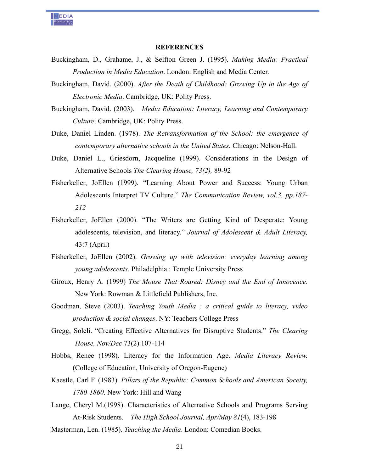

#### **REFERENCES**

- Buckingham, D., Grahame, J., & Selfton Green J. (1995). *Making Media: Practical Production in Media Education*. London: English and Media Center.
- Buckingham, David. (2000). *After the Death of Childhood: Growing Up in the Age of Electronic Media*. Cambridge, UK: Polity Press.
- Buckingham, David. (2003). *Media Education: Literacy, Learning and Contemporary Culture*. Cambridge, UK: Polity Press.
- Duke, Daniel Linden. (1978). *The Retransformation of the School: the emergence of contemporary alternative schools in the United States.* Chicago: Nelson-Hall.
- Duke, Daniel L., Griesdorn, Jacqueline (1999). Considerations in the Design of Alternative Schools *The Clearing House, 73(2),* 89-92
- Fisherkeller, JoEllen (1999). "Learning About Power and Success: Young Urban Adolescents Interpret TV Culture." *The Communication Review, vol.3, pp.187- 212*
- Fisherkeller, JoEllen (2000). "The Writers are Getting Kind of Desperate: Young adolescents, television, and literacy." *Journal of Adolescent & Adult Literacy,*  43:7 (April)
- Fisherkeller, JoEllen (2002). *Growing up with television: everyday learning among young adolescents*. Philadelphia : Temple University Press
- Giroux, Henry A. (1999) *The Mouse That Roared: Disney and the End of Innocence*. New York: Rowman & Littlefield Publishers, Inc.
- Goodman, Steve (2003). *Teaching Youth Media : a critical guide to literacy, video production & social changes*. NY: Teachers College Press
- Gregg, Soleli. "Creating Effective Alternatives for Disruptive Students." *The Clearing House, Nov/Dec* 73(2) 107-114
- Hobbs, Renee (1998). Literacy for the Information Age. *Media Literacy Review.* (College of Education, University of Oregon-Eugene)
- Kaestle, Carl F. (1983). *Pillars of the Republic: Common Schools and American Soceity, 1780-1860*. New York: Hill and Wang
- Lange, Cheryl M.(1998). Characteristics of Alternative Schools and Programs Serving At-Risk Students. *The High School Journal, Apr/May 81*(4), 183-198
- Masterman, Len. (1985). *Teaching the Media*. London: Comedian Books.